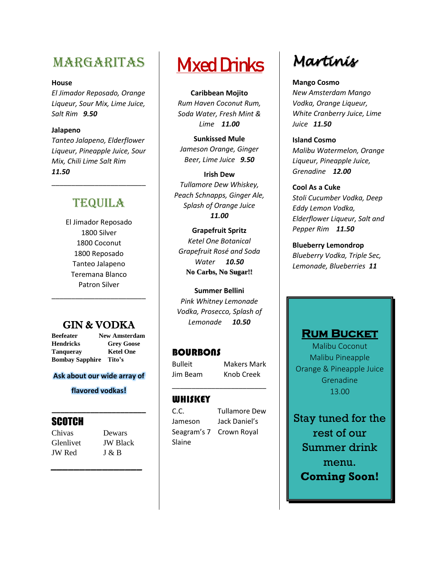# **MARGARITAS**

#### **House**

*El Jimador Reposado, Orange Liqueur, Sour Mix, Lime Juice, Salt Rim 9.50*

#### **Jalapeno**

*Tanteo Jalapeno, Elderflower Liqueur, Pineapple Juice, Sour Mix, Chili Lime Salt Rim 11.50*

# **TEQUILA**

\_\_\_\_\_\_\_\_\_\_\_\_\_\_\_\_\_\_\_\_\_\_\_\_

El Jimador Reposado 1800 Silver 1800 Coconut 1800 Reposado Tanteo Jalapeno Teremana Blanco Patron Silver

## GIN & VODKA

\_\_\_\_\_\_\_\_\_\_\_\_\_\_\_\_\_\_\_\_\_\_\_\_

**Beefeater New Amsterdam Hendricks Grey Goose Tanqueray Ketel One Bombay Sapphire Tito's** 

#### **Ask about our wide array of**

#### **flavored vodkas!**

**\_\_\_\_\_\_\_\_\_\_\_\_\_\_\_\_\_\_\_\_\_\_**

*\_\_\_\_\_\_\_\_\_\_\_\_\_\_\_\_*

### **SCOTCH**

Chivas Dewars JW Red J & B

Glenlivet JW Black

# **Mixed Drinks**

**Caribbean Mojito**  *Rum Haven Coconut Rum, Soda Water, Fresh Mint & Lime 11.00*

**Sunkissed Mule** *Jameson Orange, Ginger Beer, Lime Juice 9.50*

**Irish Dew** *Tullamore Dew Whiskey, Peach Schnapps, Ginger Ale, Splash of Orange Juice 11.00*

**Grapefruit Spritz** *Ketel One Botanical Grapefruit Rosé and Soda Water 10.50* **No Carbs, No Sugar!!**

**Summer Bellini** *Pink Whitney Lemonade Vodka, Prosecco, Splash of Lemonade 10.50*

\_\_\_\_\_\_\_\_\_\_\_\_\_\_\_\_\_\_\_\_\_\_\_\_

### **BOURBONS**

Bulleit Makers Mark Jim Beam Knob Creek

#### WHISKEY

Slaine

C.C. Tullamore Dew Jameson Jack Daniel's Seagram's 7 Crown Royal

# Martinis

**Mango Cosmo** *New Amsterdam Mango Vodka, Orange Liqueur, White Cranberry Juice, Lime Juice 11.50*

**Island Cosmo** *Malibu Watermelon, Orange Liqueur, Pineapple Juice, Grenadine 12.00*

**Cool As a Cuke** *Stoli Cucumber Vodka, Deep Eddy Lemon Vodka, Elderflower Liqueur, Salt and Pepper Rim 11.50*

**Blueberry Lemondrop** *Blueberry Vodka, Triple Sec, Lemonade, Blueberries 11*

### **Rum Bucket**

Malibu Coconut Malibu Pineapple Orange & Pineapple Juice Grenadine 13.00

Stay tuned for the rest of our Summer drink menu. **Coming Soon!**